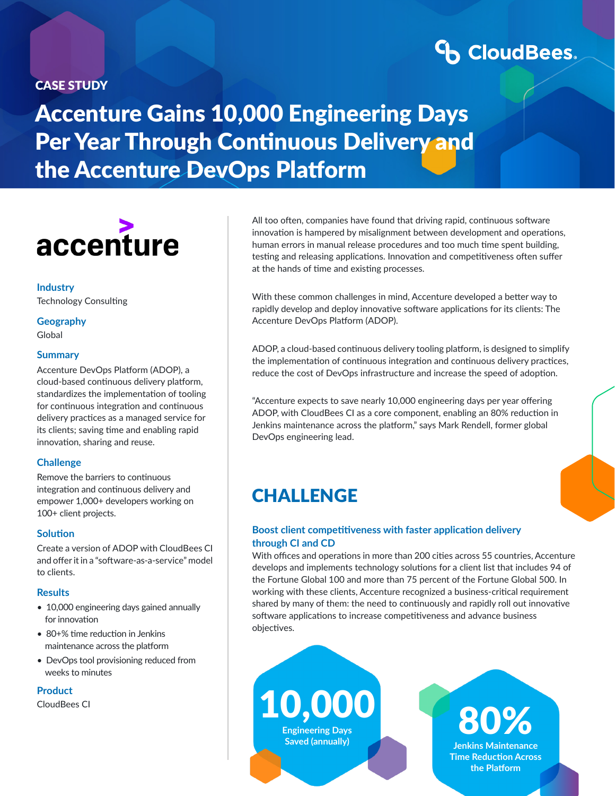### CASE STUDY

# **CoudBees**

Accenture Gains 10,000 Engineering Days Per Year Through Continuous Delivery and the Accenture DevOps Platform



**Industry** Technology Consulting

**Geography** Global

### **Summary**

Accenture DevOps Platform (ADOP), a cloud-based continuous delivery platform, standardizes the implementation of tooling for continuous integration and continuous delivery practices as a managed service for its clients; saving time and enabling rapid innovation, sharing and reuse.

### **Challenge**

Remove the barriers to continuous integration and continuous delivery and empower 1,000+ developers working on 100+ client projects.

#### **Solution**

Create a version of ADOP with CloudBees CI and offer it in a "software-as-a-service" model to clients.

### **Results**

- 10,000 engineering days gained annually for innovation
- 80+% time reduction in Jenkins maintenance across the platform
- DevOps tool provisioning reduced from weeks to minutes

**Product**

All too often, companies have found that driving rapid, continuous software innovation is hampered by misalignment between development and operations, human errors in manual release procedures and too much time spent building, testing and releasing applications. Innovation and competitiveness often suffer at the hands of time and existing processes.

With these common challenges in mind, Accenture developed a better way to rapidly develop and deploy innovative software applications for its clients: The Accenture DevOps Platform (ADOP).

ADOP, a cloud-based continuous delivery tooling platform, is designed to simplify the implementation of continuous integration and continuous delivery practices, reduce the cost of DevOps infrastructure and increase the speed of adoption.

"Accenture expects to save nearly 10,000 engineering days per year offering ADOP, with CloudBees CI as a core component, enabling an 80% reduction in Jenkins maintenance across the platform," says Mark Rendell, former global DevOps engineering lead.

### **CHALLENGE**

### **Boost client competitiveness with faster application delivery through CI and CD**

With offices and operations in more than 200 cities across 55 countries, Accenture develops and implements technology solutions for a client list that includes 94 of the Fortune Global 100 and more than 75 percent of the Fortune Global 500. In working with these clients, Accenture recognized a business-critical requirement shared by many of them: the need to continuously and rapidly roll out innovative software applications to increase competitiveness and advance business objectives.

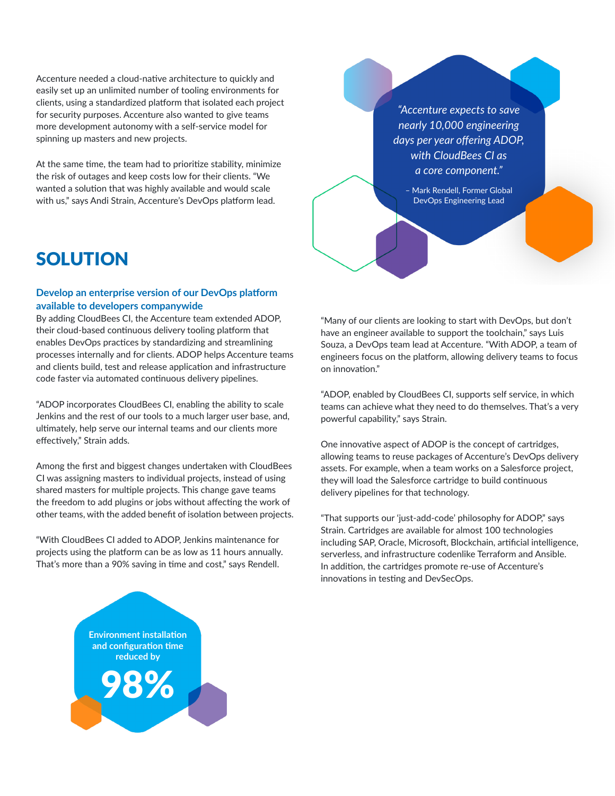Accenture needed a cloud-native architecture to quickly and easily set up an unlimited number of tooling environments for clients, using a standardized platform that isolated each project for security purposes. Accenture also wanted to give teams more development autonomy with a self-service model for spinning up masters and new projects.

At the same time, the team had to prioritize stability, minimize the risk of outages and keep costs low for their clients. "We wanted a solution that was highly available and would scale with us," says Andi Strain, Accenture's DevOps platform lead.

*"Accenture expects to save nearly 10,000 engineering days per year offering ADOP, with CloudBees CI as a core component."*

– Mark Rendell, Former Global DevOps Engineering Lead

## SOLUTION

### **Develop an enterprise version of our DevOps platform available to developers companywide**

By adding CloudBees CI, the Accenture team extended ADOP, their cloud-based continuous delivery tooling platform that enables DevOps practices by standardizing and streamlining processes internally and for clients. ADOP helps Accenture teams and clients build, test and release application and infrastructure code faster via automated continuous delivery pipelines.

"ADOP incorporates CloudBees CI, enabling the ability to scale Jenkins and the rest of our tools to a much larger user base, and, ultimately, help serve our internal teams and our clients more effectively," Strain adds.

Among the first and biggest changes undertaken with CloudBees CI was assigning masters to individual projects, instead of using shared masters for multiple projects. This change gave teams the freedom to add plugins or jobs without affecting the work of other teams, with the added benefit of isolation between projects.

"With CloudBees CI added to ADOP, Jenkins maintenance for projects using the platform can be as low as 11 hours annually. That's more than a 90% saving in time and cost," says Rendell.



"Many of our clients are looking to start with DevOps, but don't have an engineer available to support the toolchain," says Luis Souza, a DevOps team lead at Accenture. "With ADOP, a team of engineers focus on the platform, allowing delivery teams to focus on innovation."

"ADOP, enabled by CloudBees CI, supports self service, in which teams can achieve what they need to do themselves. That's a very powerful capability," says Strain.

One innovative aspect of ADOP is the concept of cartridges, allowing teams to reuse packages of Accenture's DevOps delivery assets. For example, when a team works on a Salesforce project, they will load the Salesforce cartridge to build continuous delivery pipelines for that technology.

"That supports our 'just-add-code' philosophy for ADOP," says Strain. Cartridges are available for almost 100 technologies including SAP, Oracle, Microsoft, Blockchain, artificial intelligence, serverless, and infrastructure codenlike Terraform and Ansible. In addition, the cartridges promote re-use of Accenture's innovations in testing and DevSecOps.